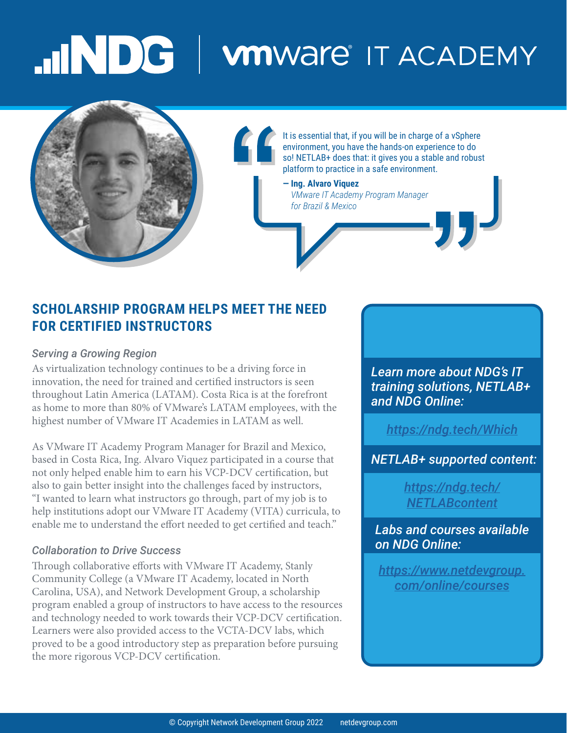# MDG | winware IT ACADEMY



### **SCHOLARSHIP PROGRAM HELPS MEET THE NEED FOR CERTIFIED INSTRUCTORS**

### *Serving a Growing Region*

As virtualization technology continues to be a driving force in innovation, the need for trained and certified instructors is seen throughout Latin America (LATAM). Costa Rica is at the forefront as home to more than 80% of VMware's LATAM employees, with the highest number of VMware IT Academies in LATAM as well.

As VMware IT Academy Program Manager for Brazil and Mexico, based in Costa Rica, Ing. Alvaro Viquez participated in a course that not only helped enable him to earn his VCP-DCV certification, but also to gain better insight into the challenges faced by instructors, "I wanted to learn what instructors go through, part of my job is to help institutions adopt our VMware IT Academy (VITA) curricula, to enable me to understand the effort needed to get certified and teach."

#### *Collaboration to Drive Success*

Through collaborative efforts with VMware IT Academy, Stanly Community College (a VMware IT Academy, located in North Carolina, USA), and Network Development Group, a scholarship program enabled a group of instructors to have access to the resources and technology needed to work towards their VCP-DCV certification. Learners were also provided access to the VCTA-DCV labs, which proved to be a good introductory step as preparation before pursuing the more rigorous VCP-DCV certification.

*Learn more about NDG's IT training solutions, NETLAB+ and NDG Online:*

*<https://ndg.tech/Which>*

*NETLAB+ supported content:*

*[https://ndg.tech/](https://ndg.tech/NETLABcontent) [NETLABcontent](https://ndg.tech/NETLABcontent)*

*Labs and courses available on NDG Online:*

*[https://www.netdevgroup.](https://www.netdevgroup.com/online/courses) [com/online/courses](https://www.netdevgroup.com/online/courses)*